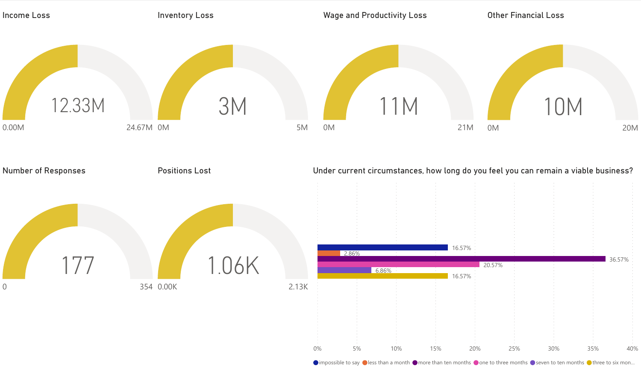

 $\bullet$  impossible to say  $\bullet$  less than a month  $\bullet$  more than ten months  $\bullet$  one to three months  $\bullet$  seven to ten months  $\bullet$  three to six mon...